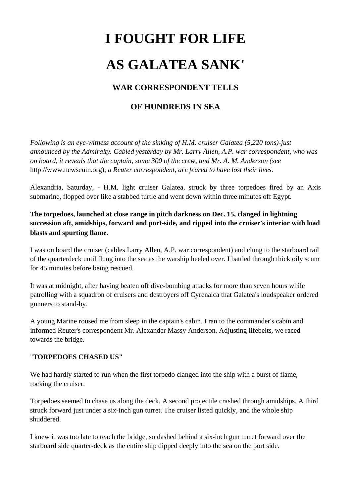# **I FOUGHT FOR LIFE AS GALATEA SANK'**

# **WAR CORRESPONDENT TELLS**

# **OF HUNDREDS IN SEA**

*Following is an eye-witness account of the sinking of H.M. cruiser Galatea (5,220 tons)-just announced by the Admiralty. Cabled yesterday by Mr. Larry Allen, A.P. war correspondent, who was on board, it reveals that the captain, some 300 of the crew, and Mr. A. M. Anderson (see*  [http://www.newseum.org\)](http://www.newseum.org))*, a Reuter correspondent, are feared to have lost their lives.*

Alexandria, Saturday, - H.M. light cruiser Galatea, struck by three torpedoes fired by an Axis submarine, flopped over like a stabbed turtle and went down within three minutes off Egypt.

# **The torpedoes, launched at close range in pitch darkness on Dec. 15, clanged in lightning succession aft, amidships, forward and port-side, and ripped into the cruiser's interior with load blasts and spurting flame.**

I was on board the cruiser (cables Larry Allen, A.P. war correspondent) and clung to the starboard rail of the quarterdeck until flung into the sea as the warship heeled over. I battled through thick oily scum for 45 minutes before being rescued.

It was at midnight, after having beaten off dive-bombing attacks for more than seven hours while patrolling with a squadron of cruisers and destroyers off Cyrenaica that Galatea's loudspeaker ordered gunners to stand-by.

A young Marine roused me from sleep in the captain's cabin. I ran to the commander's cabin and informed Reuter's correspondent Mr. Alexander Massy Anderson. Adjusting lifebelts, we raced towards the bridge.

#### "**TORPEDOES CHASED US"**

We had hardly started to run when the first torpedo clanged into the ship with a burst of flame, rocking the cruiser.

Torpedoes seemed to chase us along the deck. A second projectile crashed through amidships. A third struck forward just under a six-inch gun turret. The cruiser listed quickly, and the whole ship shuddered.

I knew it was too late to reach the bridge, so dashed behind a six-inch gun turret forward over the starboard side quarter-deck as the entire ship dipped deeply into the sea on the port side.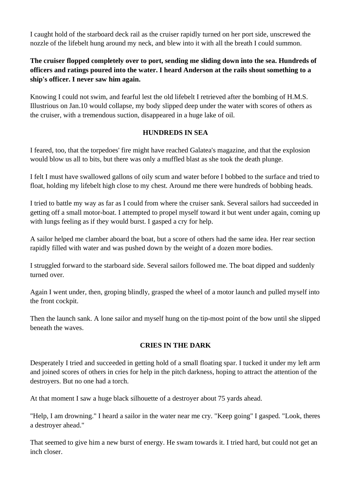I caught hold of the starboard deck rail as the cruiser rapidly turned on her port side, unscrewed the nozzle of the lifebelt hung around my neck, and blew into it with all the breath I could summon.

# **The cruiser flopped completely over to port, sending me sliding down into the sea. Hundreds of officers and ratings poured into the water. I heard Anderson at the rails shout something to a ship's officer. I never saw him again.**

Knowing I could not swim, and fearful lest the old lifebelt I retrieved after the bombing of H.M.S. Illustrious on Jan.10 would collapse, my body slipped deep under the water with scores of others as the cruiser, with a tremendous suction, disappeared in a huge lake of oil.

# **HUNDREDS IN SEA**

I feared, too, that the torpedoes' fire might have reached Galatea's magazine, and that the explosion would blow us all to bits, but there was only a muffled blast as she took the death plunge.

I felt I must have swallowed gallons of oily scum and water before I bobbed to the surface and tried to float, holding my lifebelt high close to my chest. Around me there were hundreds of bobbing heads.

I tried to battle my way as far as I could from where the cruiser sank. Several sailors had succeeded in getting off a small motor-boat. I attempted to propel myself toward it but went under again, coming up with lungs feeling as if they would burst. I gasped a cry for help.

A sailor helped me clamber aboard the boat, but a score of others had the same idea. Her rear section rapidly filled with water and was pushed down by the weight of a dozen more bodies.

I struggled forward to the starboard side. Several sailors followed me. The boat dipped and suddenly turned over.

Again I went under, then, groping blindly, grasped the wheel of a motor launch and pulled myself into the front cockpit.

Then the launch sank. A lone sailor and myself hung on the tip-most point of the bow until she slipped beneath the waves.

## **CRIES IN THE DARK**

Desperately I tried and succeeded in getting hold of a small floating spar. I tucked it under my left arm and joined scores of others in cries for help in the pitch darkness, hoping to attract the attention of the destroyers. But no one had a torch.

At that moment I saw a huge black silhouette of a destroyer about 75 yards ahead.

"Help, I am drowning." I heard a sailor in the water near me cry. "Keep going" I gasped. "Look, theres a destroyer ahead."

That seemed to give him a new burst of energy. He swam towards it. I tried hard, but could not get an inch closer.